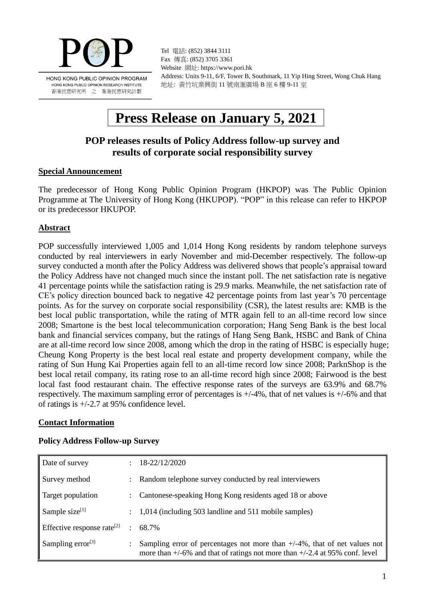

Tel 電話: (852) 3844 3111 Fax 傳真: (852) 3705 3361 Website 網址: https://www.pori.hk Address: Units 9-11, 6/F, Tower B, Southmark, 11 Yip Hing Street, Wong Chuk Hang 地址: 黃竹坑業興街 11 號南滙廣場 B 座 6 樓 9-11 室

# **Press Release on January 5, 2021**

# **POP releases results of Policy Address follow-up survey and results of corporate social responsibility survey**

#### **Special Announcement**

The predecessor of Hong Kong Public Opinion Program (HKPOP) was The Public Opinion Programme at The University of Hong Kong (HKUPOP). "POP" in this release can refer to HKPOP or its predecessor HKUPOP.

# **Abstract**

POP successfully interviewed 1,005 and 1,014 Hong Kong residents by random telephone surveys conducted by real interviewers in early November and mid-December respectively. The follow-up survey conducted a month after the Policy Address was delivered shows that people's appraisal toward the Policy Address have not changed much since the instant poll. The net satisfaction rate is negative 41 percentage points while the satisfaction rating is 29.9 marks. Meanwhile, the net satisfaction rate of CE's policy direction bounced back to negative 42 percentage points from last year's 70 percentage points. As for the survey on corporate social responsibility (CSR), the latest results are: KMB is the best local public transportation, while the rating of MTR again fell to an all-time record low since 2008; Smartone is the best local telecommunication corporation; Hang Seng Bank is the best local bank and financial services company, but the ratings of Hang Seng Bank, HSBC and Bank of China are at all-time record low since 2008, among which the drop in the rating of HSBC is especially huge; Cheung Kong Property is the best local real estate and property development company, while the rating of Sun Hung Kai Properties again fell to an all-time record low since 2008; ParknShop is the best local retail company, its rating rose to an all-time record high since 2008; Fairwood is the best local fast food restaurant chain. The effective response rates of the surveys are 63.9% and 68.7% respectively. The maximum sampling error of percentages is  $+/-4\%$ , that of net values is  $+/-6\%$  and that of ratings is +/-2.7 at 95% confidence level.

# **Contact Information**

| Date of survey                         |               | 18-22/12/2020                                                                                                                                                     |
|----------------------------------------|---------------|-------------------------------------------------------------------------------------------------------------------------------------------------------------------|
| Survey method                          | $\mathcal{L}$ | Random telephone survey conducted by real interviewers                                                                                                            |
| Target population                      |               | : Cantonese-speaking Hong Kong residents aged 18 or above                                                                                                         |
| Sample size <sup>[1]</sup>             |               | 1,014 (including 503 landline and 511 mobile samples)                                                                                                             |
| Effective response rate <sup>[2]</sup> | $\mathcal{L}$ | 68.7%                                                                                                                                                             |
| Sampling error $[3]$                   |               | Sampling error of percentages not more than $+/-4\%$ , that of net values not<br>more than $+/-6\%$ and that of ratings not more than $+/-2.4$ at 95% conf. level |

# **Policy Address Follow-up Survey**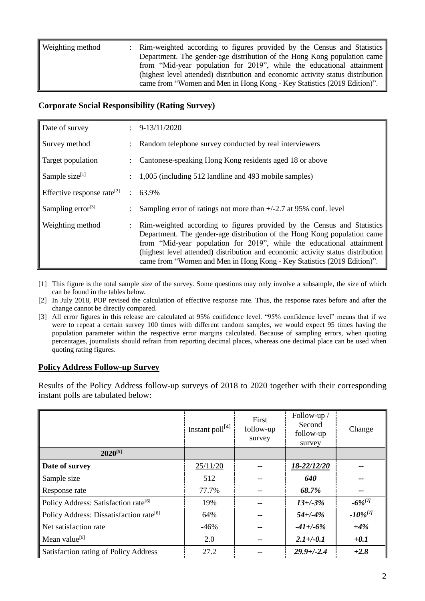| Weighting method | : Rim-weighted according to figures provided by the Census and Statistics<br>Department. The gender-age distribution of the Hong Kong population came      |
|------------------|------------------------------------------------------------------------------------------------------------------------------------------------------------|
|                  | from "Mid-year population for 2019", while the educational attainment                                                                                      |
|                  | (highest level attended) distribution and economic activity status distribution<br>came from "Women and Men in Hong Kong - Key Statistics (2019 Edition)". |

# **Corporate Social Responsibility (Rating Survey)**

| Date of survey                         | $\div$ 9-13/11/2020                                                                                                                                                                                                                                                                                                                                                                        |
|----------------------------------------|--------------------------------------------------------------------------------------------------------------------------------------------------------------------------------------------------------------------------------------------------------------------------------------------------------------------------------------------------------------------------------------------|
| Survey method                          | Random telephone survey conducted by real interviewers                                                                                                                                                                                                                                                                                                                                     |
| Target population                      | Cantonese-speaking Hong Kong residents aged 18 or above                                                                                                                                                                                                                                                                                                                                    |
| Sample size <sup>[1]</sup>             | 1,005 (including 512 landline and 493 mobile samples)                                                                                                                                                                                                                                                                                                                                      |
| Effective response rate <sup>[2]</sup> | $: 63.9\%$                                                                                                                                                                                                                                                                                                                                                                                 |
| Sampling error $^{[3]}$                | Sampling error of ratings not more than $+/-2.7$ at 95% conf. level                                                                                                                                                                                                                                                                                                                        |
| Weighting method                       | Rim-weighted according to figures provided by the Census and Statistics<br>Department. The gender-age distribution of the Hong Kong population came<br>from "Mid-year population for 2019", while the educational attainment<br>(highest level attended) distribution and economic activity status distribution<br>came from "Women and Men in Hong Kong - Key Statistics (2019 Edition)". |

- [1] This figure is the total sample size of the survey. Some questions may only involve a subsample, the size of which can be found in the tables below.
- [2] In July 2018, POP revised the calculation of effective response rate. Thus, the response rates before and after the change cannot be directly compared.
- [3] All error figures in this release are calculated at 95% confidence level. "95% confidence level" means that if we were to repeat a certain survey 100 times with different random samples, we would expect 95 times having the population parameter within the respective error margins calculated. Because of sampling errors, when quoting percentages, journalists should refrain from reporting decimal places, whereas one decimal place can be used when quoting rating figures.

# **Policy Address Follow-up Survey**

Results of the Policy Address follow-up surveys of 2018 to 2020 together with their corresponding instant polls are tabulated below:

|                                                     | Instant $\text{poll}^{[4]}$ | First<br>follow-up<br>survey | Follow-up /<br>Second<br>follow-up<br>survey | Change        |
|-----------------------------------------------------|-----------------------------|------------------------------|----------------------------------------------|---------------|
| $2020^{[5]}$                                        |                             |                              |                                              |               |
| Date of survey                                      | 25/11/20                    |                              | 18-22/12/20                                  |               |
| Sample size                                         | 512                         |                              | 640                                          |               |
| Response rate                                       | 77.7%                       |                              | 68.7%                                        | --            |
| Policy Address: Satisfaction rate <sup>[6]</sup>    | 19%                         |                              | $13 + (-3)$ %                                | $-6\%^{[7]}$  |
| Policy Address: Dissatisfaction rate <sup>[6]</sup> | 64%                         |                              | $54 + (-4%$                                  | $-10\%^{[7]}$ |
| Net satisfaction rate                               | $-46%$                      |                              | $-41 + (-6\%$                                | $+4%$         |
| Mean value <sup>[6]</sup>                           | 2.0                         |                              | $2.1 + (-0.1)$                               | $+0.1$        |
| Satisfaction rating of Policy Address               | 27.2                        |                              | $29.9 + (-2.4)$                              | $+2.8$        |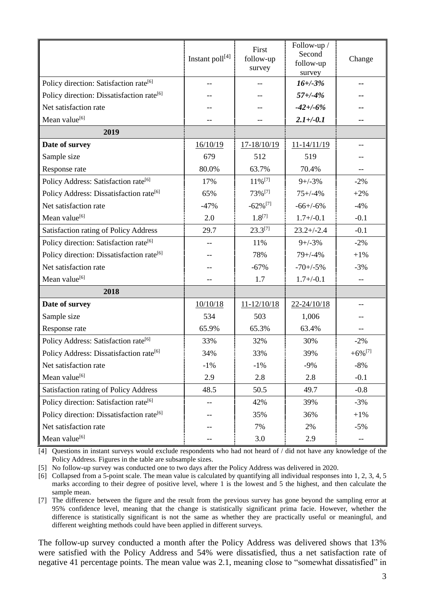|                                                       | Instant poll[4] | First<br>follow-up<br>survey | Follow-up /<br>Second<br>follow-up<br>survey | Change                |
|-------------------------------------------------------|-----------------|------------------------------|----------------------------------------------|-----------------------|
| Policy direction: Satisfaction rate <sup>[6]</sup>    | $-$             | $-$                          | $16 + (-3%)$                                 | --                    |
| Policy direction: Dissatisfaction rate <sup>[6]</sup> |                 |                              | $57 + (-4%)$                                 |                       |
| Net satisfaction rate                                 |                 |                              | $-42 + (-6%)$                                |                       |
| Mean value <sup>[6]</sup>                             |                 | --                           | $2.1 + (-0.1)$                               | --                    |
| 2019                                                  |                 |                              |                                              |                       |
| Date of survey                                        | 16/10/19        | $17 - 18/10/19$              | $11 - 14/11/19$                              | --                    |
| Sample size                                           | 679             | 512                          | 519                                          |                       |
| Response rate                                         | 80.0%           | 63.7%                        | 70.4%                                        | $- -$                 |
| Policy Address: Satisfaction rate <sup>[6]</sup>      | 17%             | 11%[7]                       | $9+/-3%$                                     | $-2%$                 |
| Policy Address: Dissatisfaction rate <sup>[6]</sup>   | 65%             | 73%[7]                       | $75 + (-4)$                                  | $+2%$                 |
| Net satisfaction rate                                 | $-47%$          | $-62\%$ <sup>[7]</sup>       | $-66+/-6%$                                   | $-4%$                 |
| Mean value <sup>[6]</sup>                             | 2.0             | $1.8^{[7]}$                  | $1.7 + (-0.1)$                               | $-0.1$                |
| Satisfaction rating of Policy Address                 | 29.7            | $23.3^{[7]}$                 | $23.2 + (-2.4)$                              | $-0.1$                |
| Policy direction: Satisfaction rate <sup>[6]</sup>    | $-$             | 11%                          | $9+/-3%$                                     | $-2\%$                |
| Policy direction: Dissatisfaction rate <sup>[6]</sup> |                 | 78%                          | $79 + (-4)$                                  | $+1%$                 |
| Net satisfaction rate                                 |                 | $-67%$                       | $-70+/-5%$                                   | $-3%$                 |
| Mean value <sup>[6]</sup>                             | $-$             | 1.7                          | $1.7 + (-0.1)$                               | $-$                   |
| 2018                                                  |                 |                              |                                              |                       |
| Date of survey                                        | 10/10/18        | $11 - 12/10/18$              | 22-24/10/18                                  | --                    |
| Sample size                                           | 534             | 503                          | 1,006                                        |                       |
| Response rate                                         | 65.9%           | 65.3%                        | 63.4%                                        |                       |
| Policy Address: Satisfaction rate <sup>[6]</sup>      | 33%             | 32%                          | 30%                                          | $-2\%$                |
| Policy Address: Dissatisfaction rate <sup>[6]</sup>   | 34%             | 33%                          | 39%                                          | $+6\%$ <sup>[7]</sup> |
| Net satisfaction rate                                 | $-1\%$          | $-1\%$                       | $-9%$                                        | $-8%$                 |
| Mean value <sup>[6]</sup>                             | 2.9             | 2.8                          | 2.8                                          | $-0.1$                |
| Satisfaction rating of Policy Address                 | 48.5            | 50.5                         | 49.7                                         | $-0.8$                |
| Policy direction: Satisfaction rate <sup>[6]</sup>    |                 | 42%                          | 39%                                          | $-3%$                 |
| Policy direction: Dissatisfaction rate <sup>[6]</sup> |                 | 35%                          | 36%                                          | $+1%$                 |
| Net satisfaction rate                                 |                 | 7%                           | 2%                                           | $-5%$                 |
| Mean value <sup>[6]</sup>                             |                 | 3.0                          | 2.9                                          | --                    |

[4] Questions in instant surveys would exclude respondents who had not heard of / did not have any knowledge of the Policy Address. Figures in the table are subsample sizes.

[5] No follow-up survey was conducted one to two days after the Policy Address was delivered in 2020.

[6] Collapsed from a 5-point scale. The mean value is calculated by quantifying all individual responses into 1, 2, 3, 4, 5 marks according to their degree of positive level, where 1 is the lowest and 5 the highest, and then calculate the sample mean.

[7] The difference between the figure and the result from the previous survey has gone beyond the sampling error at 95% confidence level, meaning that the change is statistically significant prima facie. However, whether the difference is statistically significant is not the same as whether they are practically useful or meaningful, and different weighting methods could have been applied in different surveys.

The follow-up survey conducted a month after the Policy Address was delivered shows that 13% were satisfied with the Policy Address and 54% were dissatisfied, thus a net satisfaction rate of negative 41 percentage points. The mean value was 2.1, meaning close to "somewhat dissatisfied" in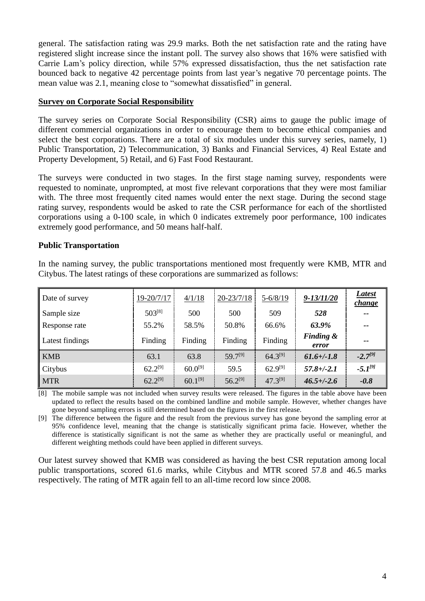general. The satisfaction rating was 29.9 marks. Both the net satisfaction rate and the rating have registered slight increase since the instant poll. The survey also shows that 16% were satisfied with Carrie Lam's policy direction, while 57% expressed dissatisfaction, thus the net satisfaction rate bounced back to negative 42 percentage points from last year's negative 70 percentage points. The mean value was 2.1, meaning close to "somewhat dissatisfied" in general.

#### **Survey on Corporate Social Responsibility**

The survey series on Corporate Social Responsibility (CSR) aims to gauge the public image of different commercial organizations in order to encourage them to become ethical companies and select the best corporations. There are a total of six modules under this survey series, namely, 1) Public Transportation, 2) Telecommunication, 3) Banks and Financial Services, 4) Real Estate and Property Development, 5) Retail, and 6) Fast Food Restaurant.

The surveys were conducted in two stages. In the first stage naming survey, respondents were requested to nominate, unprompted, at most five relevant corporations that they were most familiar with. The three most frequently cited names would enter the next stage. During the second stage rating survey, respondents would be asked to rate the CSR performance for each of the shortlisted corporations using a 0-100 scale, in which 0 indicates extremely poor performance, 100 indicates extremely good performance, and 50 means half-half.

# **Public Transportation**

In the naming survey, the public transportations mentioned most frequently were KMB, MTR and Citybus. The latest ratings of these corporations are summarized as follows:

| Date of survey  | 19-20/7/17   | 4/1/18       | $20 - 23/7/18$ | $5 - 6/8/19$ | $9 - 13/11/20$                | <b>Latest</b><br><i>change</i> |
|-----------------|--------------|--------------|----------------|--------------|-------------------------------|--------------------------------|
| Sample size     | $503^{[8]}$  | 500          | 500            | 509          | 528                           | $- -$                          |
| Response rate   | 55.2%        | 58.5%        | 50.8%          | 66.6%        | 63.9%                         | $- -$                          |
| Latest findings | Finding      | Finding      | Finding        | Finding      | <b>Finding &amp;</b><br>error | --                             |
| <b>KMB</b>      | 63.1         | 63.8         | 59.7[9]        | $64.3^{[9]}$ | $61.6 + (-1.8)$               | $-2.7^{[9]}$                   |
| Citybus         | $62.2^{[9]}$ | $60.0^{[9]}$ | 59.5           | $62.9^{[9]}$ | $57.8 + (-2.1)$               | $-5.1^{91}$                    |
| <b>MTR</b>      | $62.2^{[9]}$ | $60.1^{[9]}$ | $56.2^{[9]}$   | $47.3^{[9]}$ | $46.5 + (-2.6)$               | $-0.8$                         |

[8] The mobile sample was not included when survey results were released. The figures in the table above have been updated to reflect the results based on the combined landline and mobile sample. However, whether changes have gone beyond sampling errors is still determined based on the figures in the first release.

[9] The difference between the figure and the result from the previous survey has gone beyond the sampling error at 95% confidence level, meaning that the change is statistically significant prima facie. However, whether the difference is statistically significant is not the same as whether they are practically useful or meaningful, and different weighting methods could have been applied in different surveys.

Our latest survey showed that KMB was considered as having the best CSR reputation among local public transportations, scored 61.6 marks, while Citybus and MTR scored 57.8 and 46.5 marks respectively. The rating of MTR again fell to an all-time record low since 2008.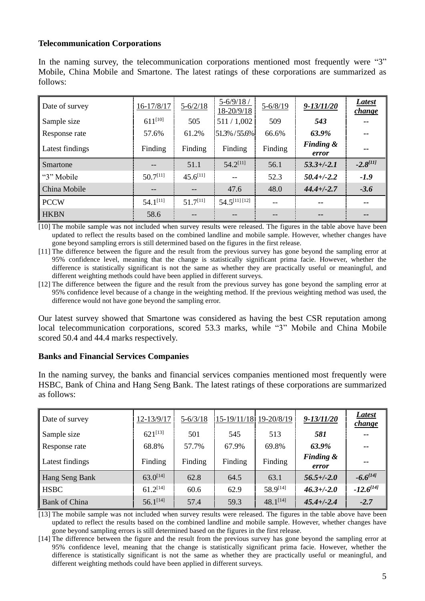#### **Telecommunication Corporations**

In the naming survey, the telecommunication corporations mentioned most frequently were "3" Mobile, China Mobile and Smartone. The latest ratings of these corporations are summarized as follows:

| Date of survey  | 16-17/8/17    | $5 - 6/2/18$  | $5 - 6/9/18$ /<br>18-20/9/18 | $5 - 6/8/19$ | $9 - 13/11/20$                | <b>Latest</b><br>change |
|-----------------|---------------|---------------|------------------------------|--------------|-------------------------------|-------------------------|
| Sample size     | $611^{[10]}$  | 505           | 511/1,002                    | 509          | 543                           | $- -$                   |
| Response rate   | 57.6%         | 61.2%         | $51.3\% / 55.6\%$            | 66.6%        | 63.9%                         | $- -$                   |
| Latest findings | Finding       | Finding       | Finding                      | Finding      | <b>Finding &amp;</b><br>error | --                      |
| Smartone        | $- -$         | 51.1          | $54.2^{[11]}$                | 56.1         | $53.3 + (-2.1)$               | $-2.8^{[11]}$           |
| "3" Mobile      | $50.7^{[11]}$ | $45.6^{[11]}$ | --                           | 52.3         | $50.4 + (-2.2)$               | $-1.9$                  |
|                 |               |               |                              |              |                               |                         |
| China Mobile    | --            | --            | 47.6                         | 48.0         | $44.4 + (-2.7)$               | $-3.6$                  |
| <b>PCCW</b>     | $54.1^{[11]}$ | $51.7^{[11]}$ | $54.5^{[11] [12]}$           | --           | $-$                           | --                      |

[10] The mobile sample was not included when survey results were released. The figures in the table above have been updated to reflect the results based on the combined landline and mobile sample. However, whether changes have gone beyond sampling errors is still determined based on the figures in the first release.

[11] The difference between the figure and the result from the previous survey has gone beyond the sampling error at 95% confidence level, meaning that the change is statistically significant prima facie. However, whether the difference is statistically significant is not the same as whether they are practically useful or meaningful, and different weighting methods could have been applied in different surveys.

[12] The difference between the figure and the result from the previous survey has gone beyond the sampling error at 95% confidence level because of a change in the weighting method. If the previous weighting method was used, the difference would not have gone beyond the sampling error.

Our latest survey showed that Smartone was considered as having the best CSR reputation among local telecommunication corporations, scored 53.3 marks, while "3" Mobile and China Mobile scored 50.4 and 44.4 marks respectively.

#### **Banks and Financial Services Companies**

In the naming survey, the banks and financial services companies mentioned most frequently were HSBC, Bank of China and Hang Seng Bank. The latest ratings of these corporations are summarized as follows:

| Date of survey       | 12-13/9/17    | $5 - 6/3/18$ | 15-19/11/18 19-20/8/19 |               | $9 - 13/11/20$                | Latest<br>change |
|----------------------|---------------|--------------|------------------------|---------------|-------------------------------|------------------|
| Sample size          | $621^{[13]}$  | 501          | 545                    | 513           | 581                           | $- -$            |
| Response rate        | 68.8%         | 57.7%        | 67.9%                  | 69.8%         | 63.9%                         | $- -$            |
| Latest findings      | Finding       | Finding      | Finding                | Finding       | <b>Finding &amp;</b><br>error | $- -$            |
| Hang Seng Bank       | $63.0^{[14]}$ | 62.8         | 64.5                   | 63.1          | $56.5 + (-2.0)$               | $-6.6^{[14]}$    |
| <b>HSBC</b>          | $61.2^{[14]}$ | 60.6         | 62.9                   | 58.9[14]      | $46.3 + (-2.0)$               | $-12.6^{[14]}$   |
| <b>Bank of China</b> | $56.1^{[14]}$ | 57.4         | 59.3                   | $48.1^{[14]}$ | $45.4 + (-2.4)$               | $-2.7$           |

[13] The mobile sample was not included when survey results were released. The figures in the table above have been updated to reflect the results based on the combined landline and mobile sample. However, whether changes have gone beyond sampling errors is still determined based on the figures in the first release.

[14] The difference between the figure and the result from the previous survey has gone beyond the sampling error at 95% confidence level, meaning that the change is statistically significant prima facie. However, whether the difference is statistically significant is not the same as whether they are practically useful or meaningful, and different weighting methods could have been applied in different surveys.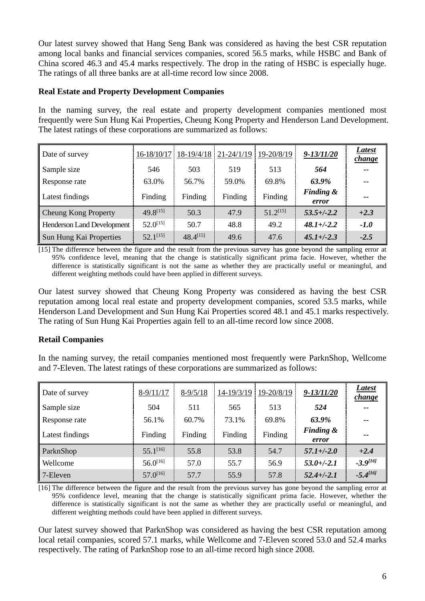Our latest survey showed that Hang Seng Bank was considered as having the best CSR reputation among local banks and financial services companies, scored 56.5 marks, while HSBC and Bank of China scored 46.3 and 45.4 marks respectively. The drop in the rating of HSBC is especially huge. The ratings of all three banks are at all-time record low since 2008.

# **Real Estate and Property Development Companies**

In the naming survey, the real estate and property development companies mentioned most frequently were Sun Hung Kai Properties, Cheung Kong Property and Henderson Land Development. The latest ratings of these corporations are summarized as follows:

| Date of survey                    | 16-18/10/17   | 18-19/4/18    | $21 - 24/1/19$ | 19-20/8/19    | $9 - 13/11/20$                | Latest<br><i>change</i> |
|-----------------------------------|---------------|---------------|----------------|---------------|-------------------------------|-------------------------|
| Sample size                       | 546           | 503           | 519            | 513           | 564                           | $- -$                   |
| Response rate                     | 63.0%         | 56.7%         | 59.0%          | 69.8%         | 63.9%                         | $- -$                   |
| Latest findings                   | Finding       | Finding       | Finding        | Finding       | <b>Finding &amp;</b><br>error | --                      |
| <b>Cheung Kong Property</b>       | $49.8^{[15]}$ | 50.3          | 47.9           | $51.2^{[15]}$ | $53.5 + (-2.2)$               | $+2.3$                  |
| <b>Henderson Land Development</b> | $52.0^{[15]}$ | 50.7          | 48.8           | 49.2          | $48.1 + (-2.2)$               | $-1.0$                  |
| Sun Hung Kai Properties           | $52.1^{[15]}$ | $48.4^{[15]}$ | 49.6           | 47.6          | $45.1 + (-2.3)$               | $-2.5$                  |

[15] The difference between the figure and the result from the previous survey has gone beyond the sampling error at 95% confidence level, meaning that the change is statistically significant prima facie. However, whether the difference is statistically significant is not the same as whether they are practically useful or meaningful, and different weighting methods could have been applied in different surveys.

Our latest survey showed that Cheung Kong Property was considered as having the best CSR reputation among local real estate and property development companies, scored 53.5 marks, while Henderson Land Development and Sun Hung Kai Properties scored 48.1 and 45.1 marks respectively. The rating of Sun Hung Kai Properties again fell to an all-time record low since 2008.

# **Retail Companies**

In the naming survey, the retail companies mentioned most frequently were ParknShop, Wellcome and 7-Eleven. The latest ratings of these corporations are summarized as follows:

| Date of survey  | $8-9/11/17$   | $8 - 9/5/18$ | 14-19/3/19 | 19-20/8/19 | $9 - 13/11/20$                | Latest<br>change |
|-----------------|---------------|--------------|------------|------------|-------------------------------|------------------|
| Sample size     | 504           | 511          | 565        | 513        | 524                           | $- -$            |
| Response rate   | 56.1%         | 60.7%        | 73.1%      | 69.8%      | 63.9%                         | $\sim$ $\sim$    |
| Latest findings | Finding       | Finding      | Finding    | Finding    | <b>Finding &amp;</b><br>error | $- -$            |
| ParknShop       | $55.1^{[16]}$ | 55.8         | 53.8       | 54.7       | $57.1 + (-2.0$                | $+2.4$           |
| Wellcome        | $56.0^{[16]}$ | 57.0         | 55.7       | 56.9       | $53.0 + (-2.1)$               | $-3.9^{[16]}$    |
| 7-Eleven        | $57.0^{[16]}$ | 57.7         | 55.9       | 57.8       | $52.4 + (-2.1)$               | $-5.4^{[16]}$    |

[16] The difference between the figure and the result from the previous survey has gone beyond the sampling error at 95% confidence level, meaning that the change is statistically significant prima facie. However, whether the difference is statistically significant is not the same as whether they are practically useful or meaningful, and different weighting methods could have been applied in different surveys.

Our latest survey showed that ParknShop was considered as having the best CSR reputation among local retail companies, scored 57.1 marks, while Wellcome and 7-Eleven scored 53.0 and 52.4 marks respectively. The rating of ParknShop rose to an all-time record high since 2008.